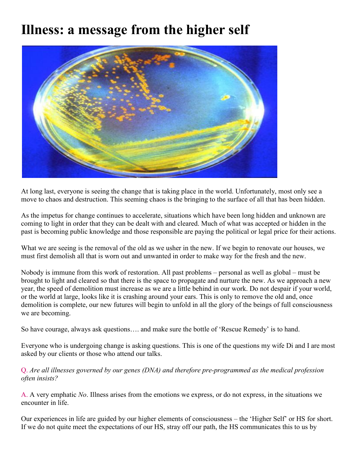## **Illness: a message from the higher self**



At long last, everyone is seeing the change that is taking place in the world. Unfortunately, most only see a move to chaos and destruction. This seeming chaos is the bringing to the surface of all that has been hidden.

As the impetus for change continues to accelerate, situations which have been long hidden and unknown are coming to light in order that they can be dealt with and cleared. Much of what was accepted or hidden in the past is becoming public knowledge and those responsible are paying the political or legal price for their actions.

What we are seeing is the removal of the old as we usher in the new. If we begin to renovate our houses, we must first demolish all that is worn out and unwanted in order to make way for the fresh and the new.

Nobody is immune from this work of restoration. All past problems – personal as well as global – must be brought to light and cleared so that there is the space to propagate and nurture the new. As we approach a new year, the speed of demolition must increase as we are a little behind in our work. Do not despair if your world, or the world at large, looks like it is crashing around your ears. This is only to remove the old and, once demolition is complete, our new futures will begin to unfold in all the glory of the beings of full consciousness we are becoming.

So have courage, always ask questions…. and make sure the bottle of 'Rescue Remedy' is to hand.

Everyone who is undergoing change is asking questions. This is one of the questions my wife Di and I are most asked by our clients or those who attend our talks.

Q. *Are all illnesses governed by our genes (DNA) and therefore pre-programmed as the medical profession often insists?*

A. A very emphatic *No*. Illness arises from the emotions we express, or do not express, in the situations we encounter in life.

Our experiences in life are guided by our higher elements of consciousness – the 'Higher Self' or HS for short. If we do not quite meet the expectations of our HS, stray off our path, the HS communicates this to us by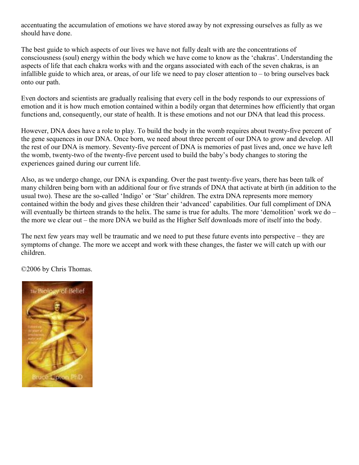[accentuating the accumul](https://cygnusreview.com/products/the-biology-of-belief-bruce-lipton)ation of emotions we have stored away by not expressing ourselves as fully as we should have done.

The best guide to which aspects of our lives we have not fully dealt with are the concentrations of consciousness (soul) energy within the body which we have come to know as the 'chakras'. Understanding the aspects of life that each chakra works with and the organs associated with each of the seven chakras, is an infallible guide to which area, or areas, of our life we need to pay closer attention to – to bring ourselves back onto our path.

Even doctors and scientists are gradually realising that every cell in the body responds to our expressions of emotion and it is how much emotion contained within a bodily organ that determines how efficiently that organ functions and, consequently, our state of health. It is these emotions and not our DNA that lead this process.

However, DNA does have a role to play. To build the body in the womb requires about twenty-five percent of the gene sequences in our DNA. Once born, we need about three percent of our DNA to grow and develop. All the rest of our DNA is memory. Seventy-five percent of DNA is memories of past lives and, once we have left the womb, twenty-two of the twenty-five percent used to build the baby's body changes to storing the experiences gained during our current life.

Also, as we undergo change, our DNA is expanding. Over the past twenty-five years, there has been talk of many children being born with an additional four or five strands of DNA that activate at birth (in addition to the usual two). These are the so-called 'Indigo' or 'Star' children. The extra DNA represents more memory contained within the body and gives these children their 'advanced' capabilities. Our full compliment of DNA will eventually be thirteen strands to the helix. The same is true for adults. The more 'demolition' work we do – the more we clear out – the more DNA we build as the Higher Self downloads more of itself into the body.

The next few years may well be traumatic and we need to put these future events into perspective – they are symptoms of change. The more we accept and work with these changes, the faster we will catch up with our children.

©2006 by Chris Thomas.